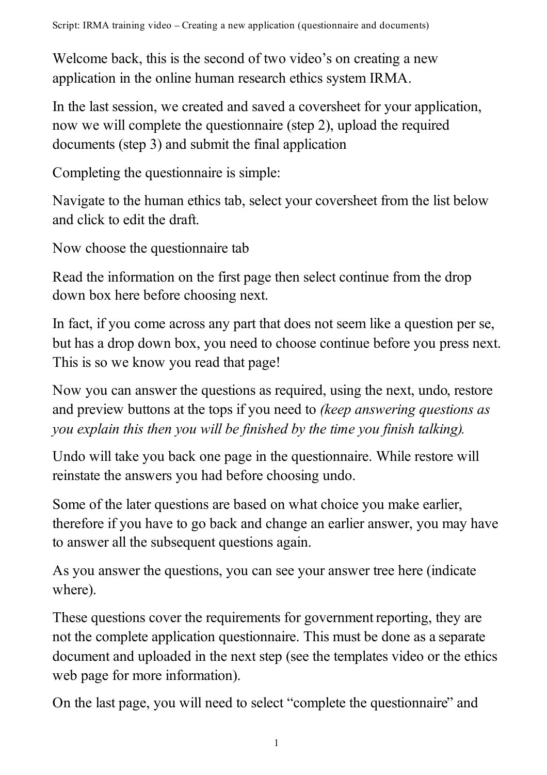Welcome back, this is the second of two video's on creating a new application in the online human research ethics system IRMA.

In the last session, we created and saved a coversheet for your application, now we will complete the questionnaire (step 2), upload the required documents (step 3) and submit the final application

Completing the questionnaire is simple:

Navigate to the human ethics tab, select your coversheet from the list below and click to edit the draft.

Now choose the questionnaire tab

Read the information on the first page then select continue from the drop down box here before choosing next.

In fact, if you come across any part that does not seem like a question per se, but has a drop down box, you need to choose continue before you press next. This is so we know you read that page!

Now you can answer the questions as required, using the next, undo, restore and preview buttons at the tops if you need to *(keep answering questions as you explain this then you will be finished by the time you finish talking).*

Undo will take you back one page in the questionnaire. While restore will reinstate the answers you had before choosing undo.

Some of the later questions are based on what choice you make earlier, therefore if you have to go back and change an earlier answer, you may have to answer all the subsequent questions again.

As you answer the questions, you can see your answer tree here (indicate where).

These questions cover the requirements for government reporting, they are not the complete application questionnaire. This must be done as a separate document and uploaded in the next step (see the templates video or the ethics web page for more information).

On the last page, you will need to select "complete the questionnaire" and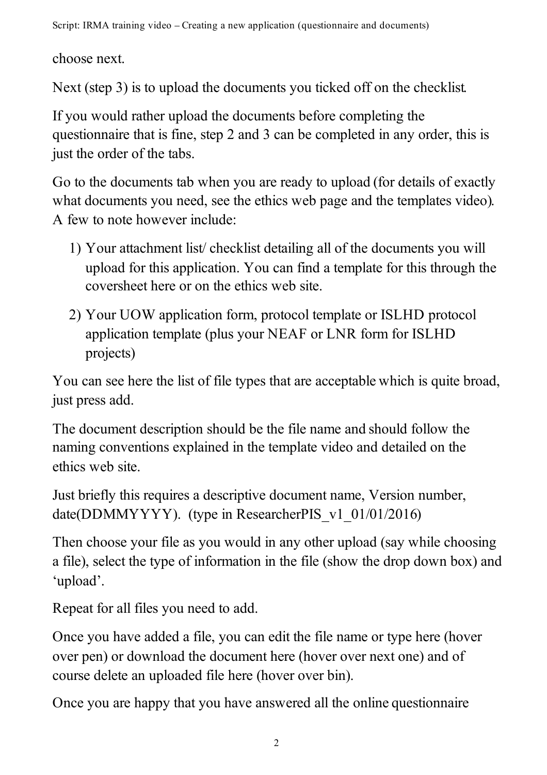Script: IRMA training video – Creating a new application (questionnaire and documents)

choose next.

Next (step 3) is to upload the documents you ticked off on the checklist.

If you would rather upload the documents before completing the questionnaire that is fine, step 2 and 3 can be completed in any order, this is just the order of the tabs.

Go to the documents tab when you are ready to upload (for details of exactly what documents you need, see the ethics web page and the templates video). A few to note however include:

- 1) Your attachment list/ checklist detailing all of the documents you will upload for this application. You can find a template for this through the coversheet here or on the ethics web site.
- 2) Your UOW application form, protocol template or ISLHD protocol application template (plus your NEAF or LNR form for ISLHD projects)

You can see here the list of file types that are acceptable which is quite broad, just press add.

The document description should be the file name and should follow the naming conventions explained in the template video and detailed on the ethics web site.

Just briefly this requires a descriptive document name, Version number, date(DDMMYYYY). (type in ResearcherPIS\_v1\_01/01/2016)

Then choose your file as you would in any other upload (say while choosing a file), select the type of information in the file (show the drop down box) and 'upload'.

Repeat for all files you need to add.

Once you have added a file, you can edit the file name or type here (hover over pen) or download the document here (hover over next one) and of course delete an uploaded file here (hover over bin).

Once you are happy that you have answered all the online questionnaire